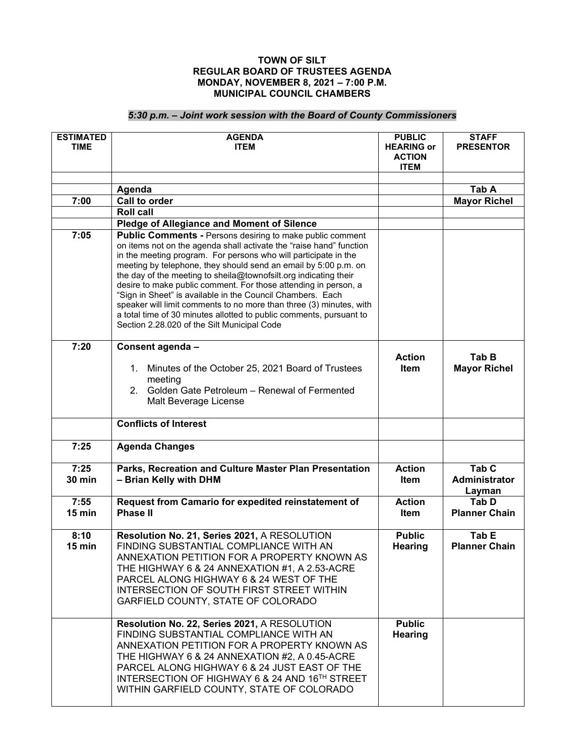## **TOWN OF SILT REGULAR BOARD OF TRUSTEES AGENDA MONDAY, NOVEMBER 8, 2021 – 7:00 P.M. MUNICIPAL COUNCIL CHAMBERS**

## *5:30 p.m. – Joint work session with the Board of County Commissioners*

| <b>ESTIMATED</b><br><b>TIME</b> | <b>AGENDA</b><br><b>ITEM</b>                                                                                                                                                                                                                                                                                                                                                                                                                                                                                                                                                                                | <b>PUBLIC</b><br><b>HEARING or</b><br><b>ACTION</b><br><b>ITEM</b> | <b>STAFF</b><br><b>PRESENTOR</b>            |
|---------------------------------|-------------------------------------------------------------------------------------------------------------------------------------------------------------------------------------------------------------------------------------------------------------------------------------------------------------------------------------------------------------------------------------------------------------------------------------------------------------------------------------------------------------------------------------------------------------------------------------------------------------|--------------------------------------------------------------------|---------------------------------------------|
|                                 |                                                                                                                                                                                                                                                                                                                                                                                                                                                                                                                                                                                                             |                                                                    |                                             |
|                                 | Agenda                                                                                                                                                                                                                                                                                                                                                                                                                                                                                                                                                                                                      |                                                                    | Tab A                                       |
| 7:00                            | <b>Call to order</b><br><b>Roll call</b>                                                                                                                                                                                                                                                                                                                                                                                                                                                                                                                                                                    |                                                                    | <b>Mayor Richel</b>                         |
|                                 | <b>Pledge of Allegiance and Moment of Silence</b>                                                                                                                                                                                                                                                                                                                                                                                                                                                                                                                                                           |                                                                    |                                             |
| 7:05                            | Public Comments - Persons desiring to make public comment                                                                                                                                                                                                                                                                                                                                                                                                                                                                                                                                                   |                                                                    |                                             |
|                                 | on items not on the agenda shall activate the "raise hand" function<br>in the meeting program. For persons who will participate in the<br>meeting by telephone, they should send an email by 5:00 p.m. on<br>the day of the meeting to sheila@townofsilt.org indicating their<br>desire to make public comment. For those attending in person, a<br>"Sign in Sheet" is available in the Council Chambers. Each<br>speaker will limit comments to no more than three (3) minutes, with<br>a total time of 30 minutes allotted to public comments, pursuant to<br>Section 2.28.020 of the Silt Municipal Code |                                                                    |                                             |
| 7:20                            | Consent agenda -                                                                                                                                                                                                                                                                                                                                                                                                                                                                                                                                                                                            |                                                                    |                                             |
|                                 | Minutes of the October 25, 2021 Board of Trustees<br>1.<br>meeting<br>2. Golden Gate Petroleum - Renewal of Fermented<br>Malt Beverage License                                                                                                                                                                                                                                                                                                                                                                                                                                                              | <b>Action</b><br>ltem                                              | Tab B<br><b>Mayor Richel</b>                |
|                                 | <b>Conflicts of Interest</b>                                                                                                                                                                                                                                                                                                                                                                                                                                                                                                                                                                                |                                                                    |                                             |
| 7:25                            | <b>Agenda Changes</b>                                                                                                                                                                                                                                                                                                                                                                                                                                                                                                                                                                                       |                                                                    |                                             |
| 7:25<br><b>30 min</b>           | Parks, Recreation and Culture Master Plan Presentation<br>- Brian Kelly with DHM                                                                                                                                                                                                                                                                                                                                                                                                                                                                                                                            | <b>Action</b><br><b>Item</b>                                       | Tab <sub>C</sub><br>Administrator<br>Layman |
| 7:55<br>$15 \text{ min}$        | Request from Camario for expedited reinstatement of<br><b>Phase II</b>                                                                                                                                                                                                                                                                                                                                                                                                                                                                                                                                      | <b>Action</b><br>ltem                                              | Tab D<br><b>Planner Chain</b>               |
| 8:10<br>$15$ min                | Resolution No. 21, Series 2021, A RESOLUTION<br>FINDING SUBSTANTIAL COMPLIANCE WITH AN<br>ANNEXATION PETITION FOR A PROPERTY KNOWN AS<br>THE HIGHWAY 6 & 24 ANNEXATION #1, A 2.53-ACRE<br>PARCEL ALONG HIGHWAY 6 & 24 WEST OF THE<br>INTERSECTION OF SOUTH FIRST STREET WITHIN<br>GARFIELD COUNTY, STATE OF COLORADO                                                                                                                                                                                                                                                                                        | <b>Public</b><br><b>Hearing</b>                                    | Tab <sub>E</sub><br><b>Planner Chain</b>    |
|                                 | Resolution No. 22, Series 2021, A RESOLUTION<br>FINDING SUBSTANTIAL COMPLIANCE WITH AN<br>ANNEXATION PETITION FOR A PROPERTY KNOWN AS<br>THE HIGHWAY 6 & 24 ANNEXATION #2, A 0.45-ACRE<br>PARCEL ALONG HIGHWAY 6 & 24 JUST EAST OF THE<br>INTERSECTION OF HIGHWAY 6 & 24 AND 16TH STREET<br>WITHIN GARFIELD COUNTY, STATE OF COLORADO                                                                                                                                                                                                                                                                       | <b>Public</b><br><b>Hearing</b>                                    |                                             |